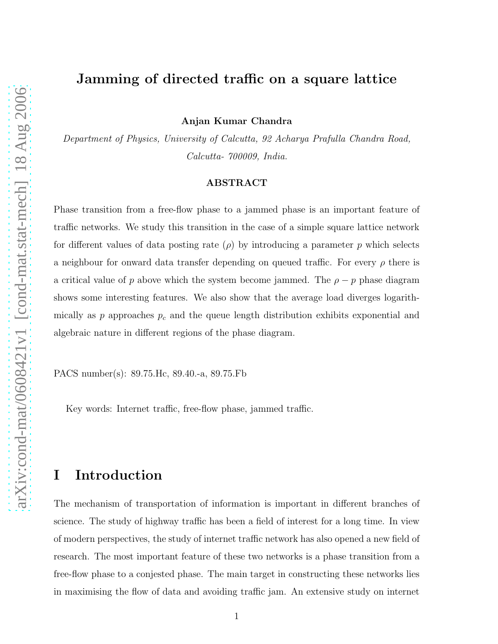# Jamming of directed traffic on a square lattice

Anjan Kumar Chandra

Department of Physics, University of Calcutta, 92 Acharya Prafulla Chandra Road, Calcutta- 700009, India.

#### ABSTRACT

Phase transition from a free-flow phase to a jammed phase is an important feature of traffic networks. We study this transition in the case of a simple square lattice network for different values of data posting rate  $(\rho)$  by introducing a parameter p which selects a neighbour for onward data transfer depending on queued traffic. For every  $\rho$  there is a critical value of p above which the system become jammed. The  $\rho - p$  phase diagram shows some interesting features. We also show that the average load diverges logarithmically as p approaches  $p_c$  and the queue length distribution exhibits exponential and algebraic nature in different regions of the phase diagram.

PACS number(s): 89.75.Hc, 89.40.-a, 89.75.Fb

Key words: Internet traffic, free-flow phase, jammed traffic.

# I Introduction

The mechanism of transportation of information is important in different branches of science. The study of highway traffic has been a field of interest for a long time. In view of modern perspectives, the study of internet traffic network has also opened a new field of research. The most important feature of these two networks is a phase transition from a free-flow phase to a conjested phase. The main target in constructing these networks lies in maximising the flow of data and avoiding traffic jam. An extensive study on internet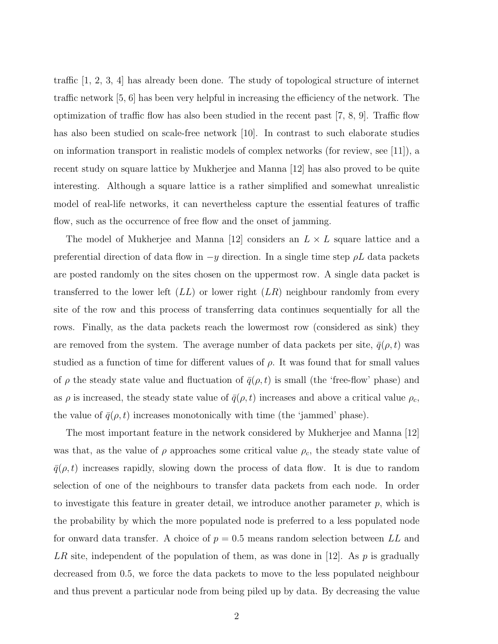traffic [1, 2, 3, 4] has already been done. The study of topological structure of internet traffic network [5, 6] has been very helpful in increasing the efficiency of the network. The optimization of traffic flow has also been studied in the recent past [7, 8, 9]. Traffic flow has also been studied on scale-free network [10]. In contrast to such elaborate studies on information transport in realistic models of complex networks (for review, see [11]), a recent study on square lattice by Mukherjee and Manna [12] has also proved to be quite interesting. Although a square lattice is a rather simplified and somewhat unrealistic model of real-life networks, it can nevertheless capture the essential features of traffic flow, such as the occurrence of free flow and the onset of jamming.

The model of Mukherjee and Manna [12] considers an  $L \times L$  square lattice and a preferential direction of data flow in  $-y$  direction. In a single time step  $\rho L$  data packets are posted randomly on the sites chosen on the uppermost row. A single data packet is transferred to the lower left  $(LL)$  or lower right  $(LR)$  neighbour randomly from every site of the row and this process of transferring data continues sequentially for all the rows. Finally, as the data packets reach the lowermost row (considered as sink) they are removed from the system. The average number of data packets per site,  $\bar{q}(\rho, t)$  was studied as a function of time for different values of  $\rho$ . It was found that for small values of  $\rho$  the steady state value and fluctuation of  $\bar{q}(\rho, t)$  is small (the 'free-flow' phase) and as  $\rho$  is increased, the steady state value of  $\bar{q}(\rho, t)$  increases and above a critical value  $\rho_c$ , the value of  $\bar{q}(\rho, t)$  increases monotonically with time (the 'jammed' phase).

The most important feature in the network considered by Mukherjee and Manna [12] was that, as the value of  $\rho$  approaches some critical value  $\rho_c$ , the steady state value of  $\bar{q}(\rho, t)$  increases rapidly, slowing down the process of data flow. It is due to random selection of one of the neighbours to transfer data packets from each node. In order to investigate this feature in greater detail, we introduce another parameter  $p$ , which is the probability by which the more populated node is preferred to a less populated node for onward data transfer. A choice of  $p = 0.5$  means random selection between LL and LR site, independent of the population of them, as was done in [12]. As p is gradually decreased from 0.5, we force the data packets to move to the less populated neighbour and thus prevent a particular node from being piled up by data. By decreasing the value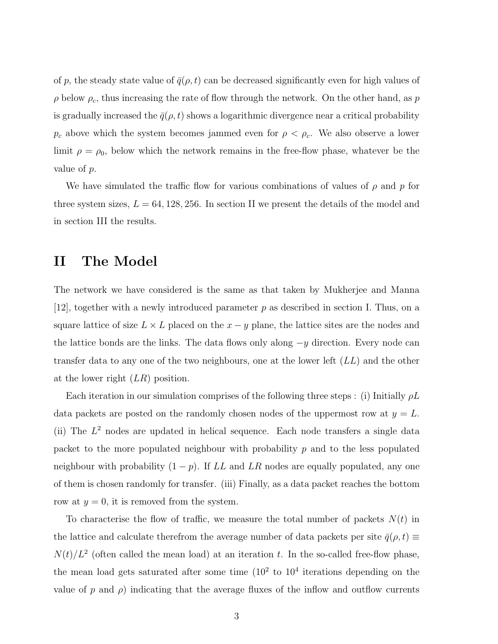of p, the steady state value of  $\bar{q}(\rho, t)$  can be decreased significantly even for high values of  $\rho$  below  $\rho_c$ , thus increasing the rate of flow through the network. On the other hand, as p is gradually increased the  $\bar{q}(\rho, t)$  shows a logarithmic divergence near a critical probability  $p_c$  above which the system becomes jammed even for  $\rho < \rho_c$ . We also observe a lower limit  $\rho = \rho_0$ , below which the network remains in the free-flow phase, whatever be the value of p.

We have simulated the traffic flow for various combinations of values of  $\rho$  and p for three system sizes,  $L = 64, 128, 256$ . In section II we present the details of the model and in section III the results.

### II The Model

The network we have considered is the same as that taken by Mukherjee and Manna [12], together with a newly introduced parameter p as described in section I. Thus, on a square lattice of size  $L \times L$  placed on the  $x - y$  plane, the lattice sites are the nodes and the lattice bonds are the links. The data flows only along  $-y$  direction. Every node can transfer data to any one of the two neighbours, one at the lower left  $(LL)$  and the other at the lower right  $(LR)$  position.

Each iteration in our simulation comprises of the following three steps : (i) Initially  $\rho L$ data packets are posted on the randomly chosen nodes of the uppermost row at  $y = L$ . (ii) The  $L^2$  nodes are updated in helical sequence. Each node transfers a single data packet to the more populated neighbour with probability  $p$  and to the less populated neighbour with probability  $(1 - p)$ . If LL and LR nodes are equally populated, any one of them is chosen randomly for transfer. (iii) Finally, as a data packet reaches the bottom row at  $y = 0$ , it is removed from the system.

To characterise the flow of traffic, we measure the total number of packets  $N(t)$  in the lattice and calculate therefrom the average number of data packets per site  $\bar{q}(\rho, t) \equiv$  $N(t)/L^2$  (often called the mean load) at an iteration t. In the so-called free-flow phase, the mean load gets saturated after some time  $(10^2 \text{ to } 10^4 \text{ iterations depending on the})$ value of p and  $\rho$ ) indicating that the average fluxes of the inflow and outflow currents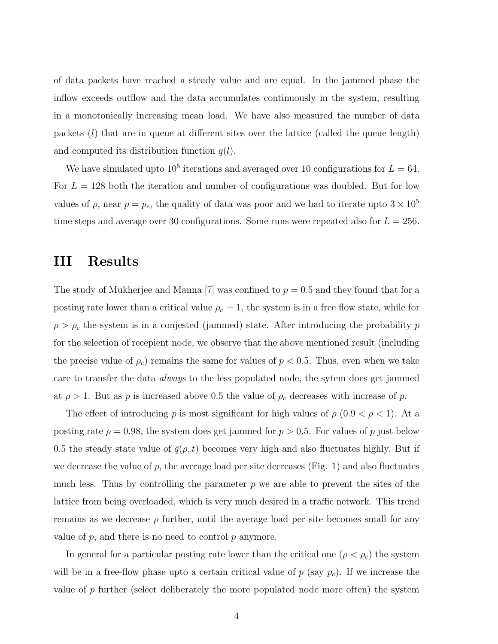of data packets have reached a steady value and are equal. In the jammed phase the inflow exceeds outflow and the data accumulates continuously in the system, resulting in a monotonically increasing mean load. We have also measured the number of data packets  $(l)$  that are in queue at different sites over the lattice (called the queue length) and computed its distribution function  $q(l)$ .

We have simulated upto  $10^5$  iterations and averaged over 10 configurations for  $L = 64$ . For  $L = 128$  both the iteration and number of configurations was doubled. But for low values of  $\rho$ , near  $p = p_c$ , the quality of data was poor and we had to iterate upto  $3 \times 10^5$ time steps and average over 30 configurations. Some runs were repeated also for  $L = 256$ .

### III Results

The study of Mukherjee and Manna [7] was confined to  $p = 0.5$  and they found that for a posting rate lower than a critical value  $\rho_c = 1$ , the system is in a free flow state, while for  $\rho > \rho_c$  the system is in a conjested (jammed) state. After introducing the probability  $p$ for the selection of recepient node, we observe that the above mentioned result (including the precise value of  $\rho_c$ ) remains the same for values of  $p < 0.5$ . Thus, even when we take care to transfer the data always to the less populated node, the sytem does get jammed at  $\rho > 1$ . But as p is increased above 0.5 the value of  $\rho_c$  decreases with increase of p.

The effect of introducing p is most significant for high values of  $\rho$  (0.9  $\lt \rho \lt 1$ ). At a posting rate  $\rho = 0.98$ , the system does get jammed for  $p > 0.5$ . For values of p just below 0.5 the steady state value of  $\bar{q}(\rho, t)$  becomes very high and also fluctuates highly. But if we decrease the value of p, the average load per site decreases (Fig. 1) and also fluctuates much less. Thus by controlling the parameter  $p$  we are able to prevent the sites of the lattice from being overloaded, which is very much desired in a traffic network. This trend remains as we decrease  $\rho$  further, until the average load per site becomes small for any value of  $p$ , and there is no need to control  $p$  anymore.

In general for a particular posting rate lower than the critical one  $(\rho < \rho_c)$  the system will be in a free-flow phase upto a certain critical value of  $p$  (say  $p_c$ ). If we increase the value of p further (select deliberately the more populated node more often) the system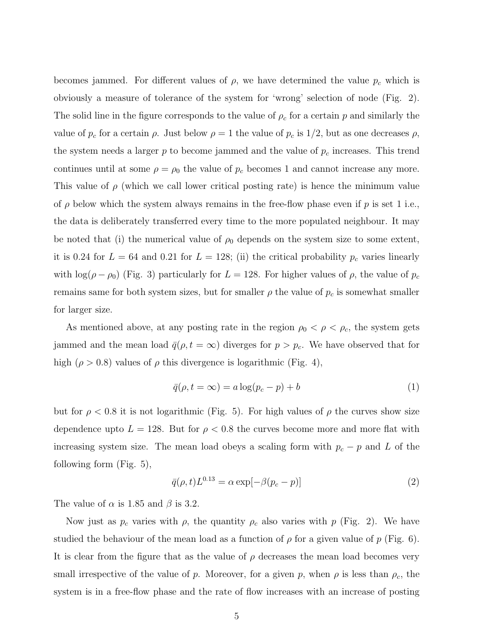becomes jammed. For different values of  $\rho$ , we have determined the value  $p_c$  which is obviously a measure of tolerance of the system for 'wrong' selection of node (Fig. 2). The solid line in the figure corresponds to the value of  $\rho_c$  for a certain p and similarly the value of  $p_c$  for a certain  $\rho$ . Just below  $\rho = 1$  the value of  $p_c$  is  $1/2$ , but as one decreases  $\rho$ , the system needs a larger  $p$  to become jammed and the value of  $p_c$  increases. This trend continues until at some  $\rho = \rho_0$  the value of  $p_c$  becomes 1 and cannot increase any more. This value of  $\rho$  (which we call lower critical posting rate) is hence the minimum value of  $\rho$  below which the system always remains in the free-flow phase even if  $p$  is set 1 i.e., the data is deliberately transferred every time to the more populated neighbour. It may be noted that (i) the numerical value of  $\rho_0$  depends on the system size to some extent, it is 0.24 for  $L = 64$  and 0.21 for  $L = 128$ ; (ii) the critical probability  $p_c$  varies linearly with  $\log(\rho - \rho_0)$  (Fig. 3) particularly for  $L = 128$ . For higher values of  $\rho$ , the value of  $p_c$ remains same for both system sizes, but for smaller  $\rho$  the value of  $p_c$  is somewhat smaller for larger size.

As mentioned above, at any posting rate in the region  $\rho_0 < \rho < \rho_c$ , the system gets jammed and the mean load  $\bar{q}(\rho, t = \infty)$  diverges for  $p > p_c$ . We have observed that for high ( $\rho > 0.8$ ) values of  $\rho$  this divergence is logarithmic (Fig. 4),

$$
\bar{q}(\rho, t = \infty) = a \log(p_c - p) + b \tag{1}
$$

but for  $\rho < 0.8$  it is not logarithmic (Fig. 5). For high values of  $\rho$  the curves show size dependence upto  $L = 128$ . But for  $\rho < 0.8$  the curves become more and more flat with increasing system size. The mean load obeys a scaling form with  $p_c - p$  and L of the following form (Fig. 5),

$$
\bar{q}(\rho, t)L^{0.13} = \alpha \exp[-\beta(p_c - p)] \tag{2}
$$

The value of  $\alpha$  is 1.85 and  $\beta$  is 3.2.

Now just as  $p_c$  varies with  $\rho$ , the quantity  $\rho_c$  also varies with p (Fig. 2). We have studied the behaviour of the mean load as a function of  $\rho$  for a given value of  $p$  (Fig. 6). It is clear from the figure that as the value of  $\rho$  decreases the mean load becomes very small irrespective of the value of p. Moreover, for a given p, when  $\rho$  is less than  $\rho_c$ , the system is in a free-flow phase and the rate of flow increases with an increase of posting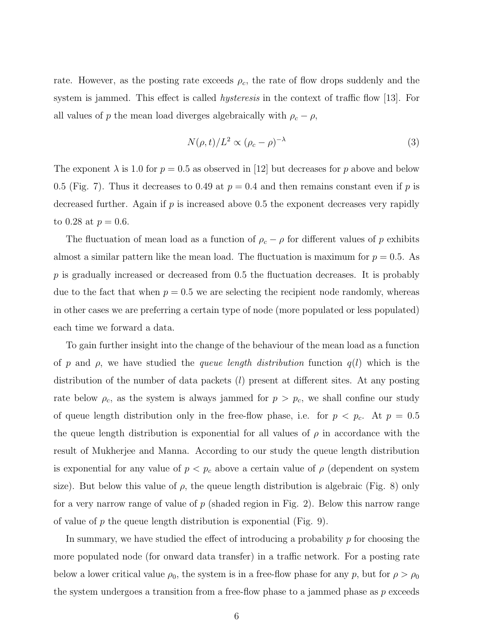rate. However, as the posting rate exceeds  $\rho_c$ , the rate of flow drops suddenly and the system is jammed. This effect is called *hysteresis* in the context of traffic flow [13]. For all values of p the mean load diverges algebraically with  $\rho_c - \rho$ ,

$$
N(\rho, t)/L^2 \propto (\rho_c - \rho)^{-\lambda} \tag{3}
$$

The exponent  $\lambda$  is 1.0 for  $p = 0.5$  as observed in [12] but decreases for p above and below 0.5 (Fig. 7). Thus it decreases to 0.49 at  $p = 0.4$  and then remains constant even if p is decreased further. Again if  $p$  is increased above 0.5 the exponent decreases very rapidly to 0.28 at  $p = 0.6$ .

The fluctuation of mean load as a function of  $\rho_c - \rho$  for different values of p exhibits almost a similar pattern like the mean load. The fluctuation is maximum for  $p = 0.5$ . As  $p$  is gradually increased or decreased from 0.5 the fluctuation decreases. It is probably due to the fact that when  $p = 0.5$  we are selecting the recipient node randomly, whereas in other cases we are preferring a certain type of node (more populated or less populated) each time we forward a data.

To gain further insight into the change of the behaviour of the mean load as a function of p and  $\rho$ , we have studied the queue length distribution function  $q(l)$  which is the distribution of the number of data packets (l) present at different sites. At any posting rate below  $\rho_c$ , as the system is always jammed for  $p > p_c$ , we shall confine our study of queue length distribution only in the free-flow phase, i.e. for  $p < p_c$ . At  $p = 0.5$ the queue length distribution is exponential for all values of  $\rho$  in accordance with the result of Mukherjee and Manna. According to our study the queue length distribution is exponential for any value of  $p < p_c$  above a certain value of  $\rho$  (dependent on system size). But below this value of  $\rho$ , the queue length distribution is algebraic (Fig. 8) only for a very narrow range of value of  $p$  (shaded region in Fig. 2). Below this narrow range of value of  $p$  the queue length distribution is exponential (Fig. 9).

In summary, we have studied the effect of introducing a probability p for choosing the more populated node (for onward data transfer) in a traffic network. For a posting rate below a lower critical value  $\rho_0$ , the system is in a free-flow phase for any p, but for  $\rho > \rho_0$ the system undergoes a transition from a free-flow phase to a jammed phase as  $p$  exceeds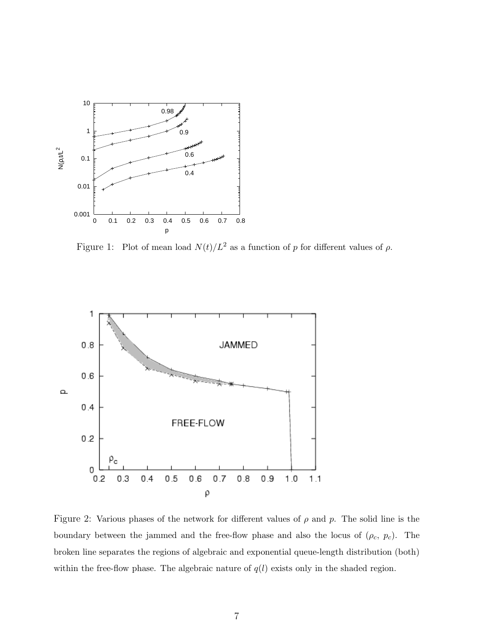

Figure 1: Plot of mean load  $N(t)/L^2$  as a function of p for different values of  $\rho$ .



Figure 2: Various phases of the network for different values of  $\rho$  and  $p$ . The solid line is the boundary between the jammed and the free-flow phase and also the locus of  $(\rho_c, p_c)$ . The broken line separates the regions of algebraic and exponential queue-length distribution (both) within the free-flow phase. The algebraic nature of  $q(l)$  exists only in the shaded region.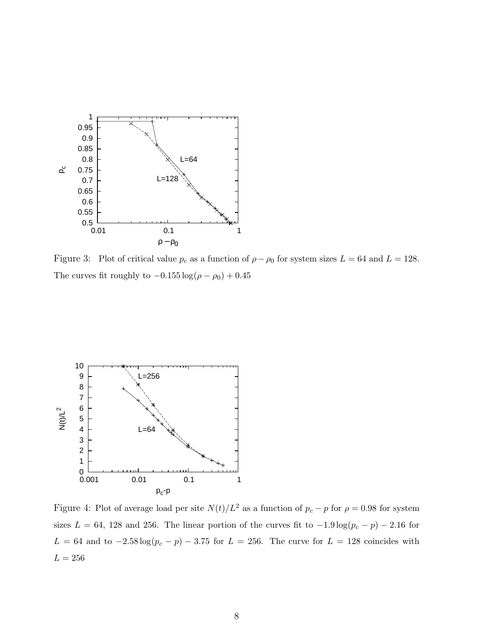

Figure 3: Plot of critical value  $p_c$  as a function of  $\rho - \rho_0$  for system sizes  $L = 64$  and  $L = 128$ . The curves fit roughly to  $-0.155\log(\rho-\rho_0)+0.45$ 



Figure 4: Plot of average load per site  $N(t)/L^2$  as a function of  $p_c - p$  for  $\rho = 0.98$  for system sizes  $L = 64$ , 128 and 256. The linear portion of the curves fit to  $-1.9 \log(p_c - p) - 2.16$  for  $L = 64$  and to  $-2.58 \log(p_c - p) - 3.75$  for  $L = 256$ . The curve for  $L = 128$  coincides with  $L = 256$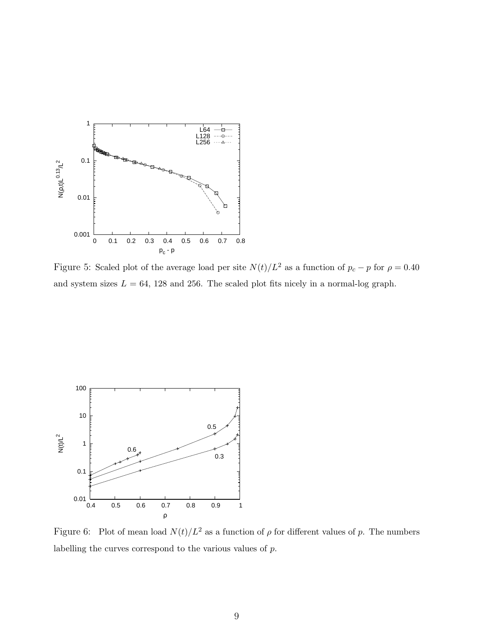

Figure 5: Scaled plot of the average load per site  $N(t)/L^2$  as a function of  $p_c - p$  for  $\rho = 0.40$ and system sizes  $L = 64$ , 128 and 256. The scaled plot fits nicely in a normal-log graph.



Figure 6: Plot of mean load  $N(t)/L^2$  as a function of  $\rho$  for different values of p. The numbers labelling the curves correspond to the various values of p.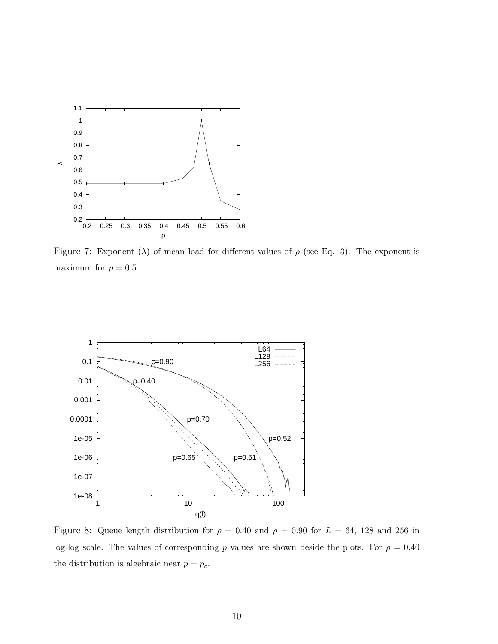

Figure 7: Exponent ( $\lambda$ ) of mean load for different values of  $\rho$  (see Eq. 3). The exponent is maximum for  $\rho=0.5.$ 



Figure 8: Queue length distribution for  $\rho = 0.40$  and  $\rho = 0.90$  for  $L = 64$ , 128 and 256 in log-log scale. The values of corresponding p values are shown beside the plots. For  $\rho = 0.40$ the distribution is algebraic near  $p = p_c$ .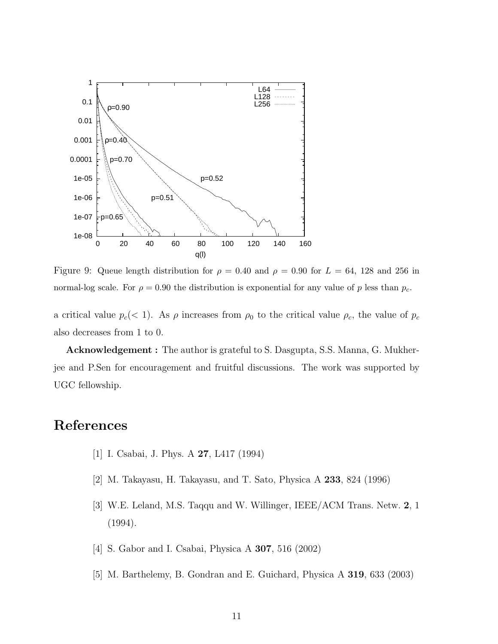

Figure 9: Queue length distribution for  $\rho = 0.40$  and  $\rho = 0.90$  for  $L = 64$ , 128 and 256 in normal-log scale. For  $\rho = 0.90$  the distribution is exponential for any value of p less than  $p_c$ .

a critical value  $p_c$  (< 1). As  $\rho$  increases from  $\rho_0$  to the critical value  $\rho_c$ , the value of  $p_c$ also decreases from 1 to 0.

Acknowledgement : The author is grateful to S. Dasgupta, S.S. Manna, G. Mukherjee and P.Sen for encouragement and fruitful discussions. The work was supported by UGC fellowship.

# References

- [1] I. Csabai, J. Phys. A 27, L417 (1994)
- [2] M. Takayasu, H. Takayasu, and T. Sato, Physica A 233, 824 (1996)
- [3] W.E. Leland, M.S. Taqqu and W. Willinger, IEEE/ACM Trans. Netw. 2, 1 (1994).
- [4] S. Gabor and I. Csabai, Physica A 307, 516 (2002)
- [5] M. Barthelemy, B. Gondran and E. Guichard, Physica A 319, 633 (2003)